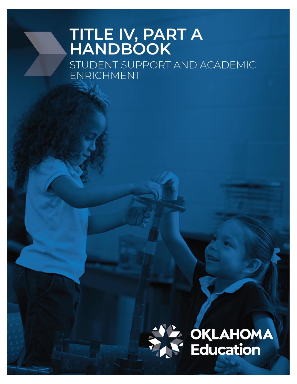# TITLE IV, PART A<br>HANDBOOK

STUDENT SUPPORT AND ACADEMIC **ENRICHMENT** 



**Education**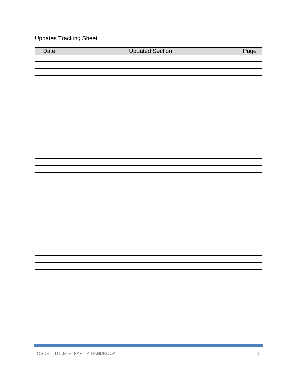# Updates Tracking Sheet

| Date | <b>Updated Section</b> | Page |
|------|------------------------|------|
|      |                        |      |
|      |                        |      |
|      |                        |      |
|      |                        |      |
|      |                        |      |
|      |                        |      |
|      |                        |      |
|      |                        |      |
|      |                        |      |
|      |                        |      |
|      |                        |      |
|      |                        |      |
|      |                        |      |
|      |                        |      |
|      |                        |      |
|      |                        |      |
|      |                        |      |
|      |                        |      |
|      |                        |      |
|      |                        |      |
|      |                        |      |
|      |                        |      |
|      |                        |      |
|      |                        |      |
|      |                        |      |
|      |                        |      |
|      |                        |      |
|      |                        |      |
|      |                        |      |
|      |                        |      |
|      |                        |      |
|      |                        |      |
|      |                        |      |
|      |                        |      |
|      |                        |      |
|      |                        |      |
|      |                        |      |
|      |                        |      |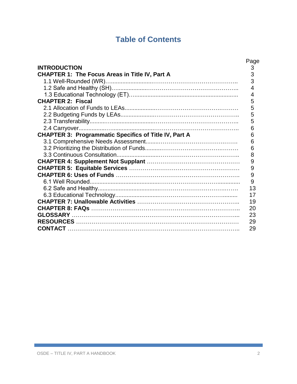# **Table of Contents**

|                                                              | Page |
|--------------------------------------------------------------|------|
| <b>INTRODUCTION</b>                                          | 3    |
| CHAPTER 1: The Focus Areas in Title IV, Part A               | 3    |
|                                                              | 3    |
|                                                              | 4    |
|                                                              | 4    |
| <b>CHAPTER 2: Fiscal</b>                                     | 5    |
|                                                              | 5    |
|                                                              | 5    |
|                                                              | 5    |
|                                                              | 6    |
| <b>CHAPTER 3: Programmatic Specifics of Title IV, Part A</b> | 6    |
|                                                              | 6    |
|                                                              | 6    |
|                                                              | 8    |
|                                                              | 9    |
|                                                              | 9    |
|                                                              | 9    |
|                                                              | 9    |
|                                                              | 13   |
|                                                              | 17   |
|                                                              | 19   |
|                                                              | 20   |
|                                                              | 23   |
|                                                              | 29   |
|                                                              | 29   |
|                                                              |      |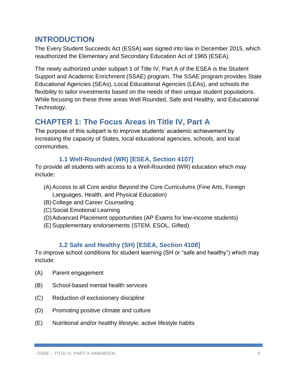# **INTRODUCTION**

The Every Student Succeeds Act (ESSA) was signed into law in December 2015, which reauthorized the Elementary and Secondary Education Act of 1965 (ESEA).

The newly authorized under subpart 1 of Title IV, Part A of the ESEA is the Student Support and Academic Enrichment (SSAE) program. The SSAE program provides State Educational Agencies (SEAs), Local Educational Agencies (LEAs), and schools the flexibility to tailor investments based on the needs of their unique student populations. While focusing on these three areas Well Rounded, Safe and Healthy, and Educational Technology.

# **CHAPTER 1: The Focus Areas in Title IV, Part A**

The purpose of this subpart is to improve students' academic achievement by increasing the capacity of States, local educational agencies, schools, and local communities.

## **1.1 Well-Rounded (WR) [ESEA, Section 4107]**

To provide all students with access to a Well-Rounded (WR) education which may include:

- (A) Access to all Core and/or Beyond the Core Curriculums (Fine Arts, Foreign Languages, Health, and Physical Education)
- (B) College and Career Counseling
- (C)Social Emotional Learning
- (D)Advanced Placement opportunities (AP Exams for low-income students)
- (E)Supplementary endorsements (STEM, ESOL, Gifted)

## **1.2 Safe and Healthy (SH) [ESEA, Section 4108]**

To improve school conditions for student learning (SH or "safe and healthy") which may include:

- (A) Parent engagement
- (B) School-based mental health services
- (C) Reduction of exclusionary discipline
- (D) Promoting positive climate and culture
- (E) Nutritional and/or healthy lifestyle; active lifestyle habits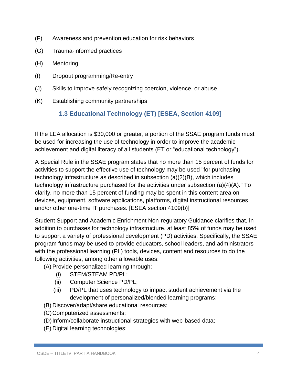- (F) Awareness and prevention education for risk behaviors
- (G) Trauma-informed practices
- (H) Mentoring
- (I) Dropout programming/Re-entry
- (J) Skills to improve safely recognizing coercion, violence, or abuse
- (K) Establishing community partnerships

## **1.3 Educational Technology (ET) [ESEA, Section 4109]**

If the LEA allocation is \$30,000 or greater, a portion of the SSAE program funds must be used for increasing the use of technology in order to improve the academic achievement and digital literacy of all students (ET or "educational technology").

A Special Rule in the SSAE program states that no more than 15 percent of funds for activities to support the effective use of technology may be used "for purchasing technology infrastructure as described in subsection (a)(2)(B), which includes technology infrastructure purchased for the activities under subsection (a)(4)(A)." To clarify, no more than 15 percent of funding may be spent in this content area on devices, equipment, software applications, platforms, digital instructional resources and/or other one-time IT purchases. [ESEA section 4109(b)]

Student Support and Academic Enrichment Non-regulatory Guidance clarifies that, in addition to purchases for technology infrastructure, at least 85% of funds may be used to support a variety of professional development (PD) activities. Specifically, the SSAE program funds may be used to provide educators, school leaders, and administrators with the professional learning (PL) tools, devices, content and resources to do the following activities, among other allowable uses:

- (A) Provide personalized learning through:
	- (i) STEM/STEAM PD/PL;
	- (ii) Computer Science PD/PL;
	- (iii) PD/PL that uses technology to impact student achievement via the development of personalized/blended learning programs;
- (B) Discover/adapt/share educational resources;
- (C)Computerized assessments;
- (D) Inform/collaborate instructional strategies with web-based data;
- (E) Digital learning technologies;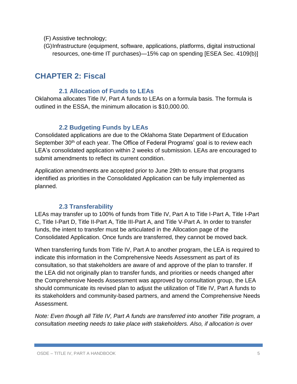- (F) Assistive technology;
- (G)Infrastructure (equipment, software, applications, platforms, digital instructional resources, one-time IT purchases)—15% cap on spending [ESEA Sec. 4109(b)]

# **CHAPTER 2: Fiscal**

## **2.1 Allocation of Funds to LEAs**

Oklahoma allocates Title IV, Part A funds to LEAs on a formula basis. The formula is outlined in the ESSA, the minimum allocation is \$10,000.00.

## **2.2 Budgeting Funds by LEAs**

Consolidated applications are due to the Oklahoma State Department of Education September 30<sup>th</sup> of each year. The Office of Federal Programs' goal is to review each LEA's consolidated application within 2 weeks of submission. LEAs are encouraged to submit amendments to reflect its current condition.

Application amendments are accepted prior to June 29th to ensure that programs identified as priorities in the Consolidated Application can be fully implemented as planned.

## **2.3 Transferability**

LEAs may transfer up to 100% of funds from Title IV, Part A to Title I-Part A, Title I-Part C, Title I-Part D, Title II-Part A, Title III-Part A, and Title V-Part A. In order to transfer funds, the intent to transfer must be articulated in the Allocation page of the Consolidated Application. Once funds are transferred, they cannot be moved back.

When transferring funds from Title IV, Part A to another program, the LEA is required to indicate this information in the Comprehensive Needs Assessment as part of its consultation, so that stakeholders are aware of and approve of the plan to transfer. If the LEA did not originally plan to transfer funds, and priorities or needs changed after the Comprehensive Needs Assessment was approved by consultation group, the LEA should communicate its revised plan to adjust the utilization of Title IV, Part A funds to its stakeholders and community-based partners, and amend the Comprehensive Needs Assessment.

*Note: Even though all Title IV, Part A funds are transferred into another Title program, a consultation meeting needs to take place with stakeholders. Also, if allocation is over*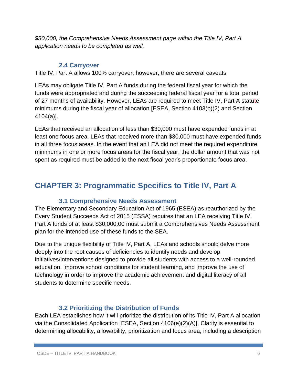*\$30,000, the Comprehensive Needs Assessment page within the Title IV, Part A application needs to be completed as well.*

## **2.4 Carryover**

Title IV, Part A allows 100% carryover; however, there are several caveats.

LEAs may obligate Title IV, Part A funds during the federal fiscal year for which the funds were appropriated and during the succeeding federal fiscal year for a total period of 27 months of availability. However, LEAs are required to meet Title IV, Part A statute minimums during the fiscal year of allocation [ESEA, Section 4103(b)(2) and Section 4104(a)].

LEAs that received an allocation of less than \$30,000 must have expended funds in at least one focus area. LEAs that received more than \$30,000 must have expended funds in all three focus areas. In the event that an LEA did not meet the required expenditure minimums in one or more focus areas for the fiscal year, the dollar amount that was not spent as required must be added to the next fiscal year's proportionate focus area.

# **CHAPTER 3: Programmatic Specifics to Title IV, Part A**

## **3.1 Comprehensive Needs Assessment**

The Elementary and Secondary Education Act of 1965 (ESEA) as reauthorized by the Every Student Succeeds Act of 2015 (ESSA) requires that an LEA receiving Title IV, Part A funds of at least \$30,000.00 must submit a Comprehensives Needs Assessment plan for the intended use of these funds to the SEA.

Due to the unique flexibility of Title IV, Part A, LEAs and schools should delve more deeply into the root causes of deficiencies to identify needs and develop initiatives/interventions designed to provide all students with access to a well-rounded education, improve school conditions for student learning, and improve the use of technology in order to improve the academic achievement and digital literacy of all students to determine specific needs.

## **3.2 Prioritizing the Distribution of Funds**

Each LEA establishes how it will prioritize the distribution of its Title IV, Part A allocation via the Consolidated Application [ESEA, Section 4106(e)(2)(A)]. Clarity is essential to determining allocability, allowability, prioritization and focus area, including a description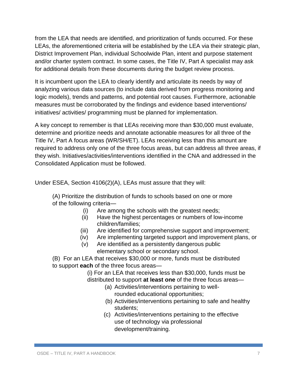from the LEA that needs are identified, and prioritization of funds occurred. For these LEAs, the aforementioned criteria will be established by the LEA via their strategic plan, District Improvement Plan, individual Schoolwide Plan, intent and purpose statement and/or charter system contract. In some cases, the Title IV, Part A specialist may ask for additional details from these documents during the budget review process.

It is incumbent upon the LEA to clearly identify and articulate its needs by way of analyzing various data sources (to include data derived from progress monitoring and logic models), trends and patterns, and potential root causes. Furthermore, actionable measures must be corroborated by the findings and evidence based interventions/ initiatives/ activities/ programming must be planned for implementation.

A key concept to remember is that LEAs receiving more than \$30,000 must evaluate, determine and prioritize needs and annotate actionable measures for all three of the Title IV, Part A focus areas (WR/SH/ET). LEAs receiving less than this amount are required to address only one of the three focus areas, but can address all three areas, if they wish. Initiatives/activities/interventions identified in the CNA and addressed in the Consolidated Application must be followed.

Under ESEA, Section 4106(2)(A), LEAs must assure that they will:

(A) Prioritize the distribution of funds to schools based on one or more of the following criteria—

- (i) Are among the schools with the greatest needs;
- (ii) Have the highest percentages or numbers of low-income children/families;
- (iii) Are identified for comprehensive support and improvement;
- (iv) Are implementing targeted support and improvement plans, or
- (v) Are identified as a persistently dangerous public elementary school or secondary school.

(B) For an LEA that receives \$30,000 or more, funds must be distributed to support **each** of the three focus areas—

(i) For an LEA that receives less than \$30,000, funds must be distributed to support **at least one** of the three focus areas—

- (a) Activities/interventions pertaining to wellrounded educational opportunities;
- (b) Activities/interventions pertaining to safe and healthy students;
- (c) Activities/interventions pertaining to the effective use of technology via professional development/training.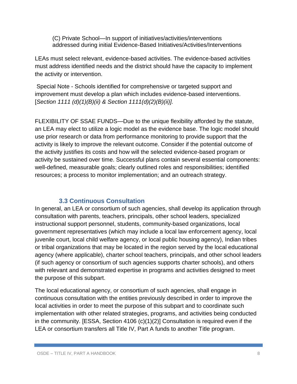(C) Private School—In support of initiatives/activities/interventions addressed during initial Evidence-Based Initiatives/Activities/Interventions

LEAs must select relevant, evidence-based activities. The evidence-based activities must address identified needs and the district should have the capacity to implement the activity or intervention.

Special Note - Schools identified for comprehensive or targeted support and improvement must develop a plan which includes evidence-based interventions. [*Section 1111 (d)(1)(B)(ii) & Section 1111(d)(2)(B)(ii)].*

FLEXIBILITY OF SSAE FUNDS—Due to the unique flexibility afforded by the statute, an LEA may elect to utilize a logic model as the evidence base. The logic model should use prior research or data from performance monitoring to provide support that the activity is likely to improve the relevant outcome. Consider if the potential outcome of the activity justifies its costs and how will the selected evidence-based program or activity be sustained over time. Successful plans contain several essential components: well-defined, measurable goals; clearly outlined roles and responsibilities; identified resources; a process to monitor implementation; and an outreach strategy.

## **3.3 Continuous Consultation**

In general, an LEA or consortium of such agencies, shall develop its application through consultation with parents, teachers, principals, other school leaders, specialized instructional support personnel, students, community-based organizations, local government representatives (which may include a local law enforcement agency, local juvenile court, local child welfare agency, or local public housing agency), Indian tribes or tribal organizations that may be located in the region served by the local educational agency (where applicable), charter school teachers, principals, and other school leaders (if such agency or consortium of such agencies supports charter schools), and others with relevant and demonstrated expertise in programs and activities designed to meet the purpose of this subpart.

The local educational agency, or consortium of such agencies, shall engage in continuous consultation with the entities previously described in order to improve the local activities in order to meet the purpose of this subpart and to coordinate such implementation with other related strategies, programs, and activities being conducted in the community. [ESSA, Section 4106 (c)(1)(2)] Consultation is required even if the LEA or consortium transfers all Title IV, Part A funds to another Title program.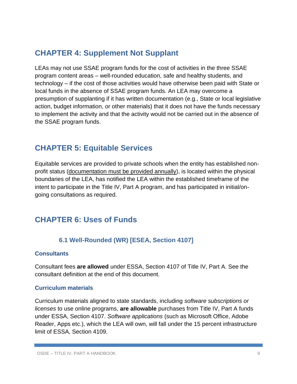# **CHAPTER 4: Supplement Not Supplant**

LEAs may not use SSAE program funds for the cost of activities in the three SSAE program content areas – well-rounded education, safe and healthy students, and technology – if the cost of those activities would have otherwise been paid with State or local funds in the absence of SSAE program funds. An LEA may overcome a presumption of supplanting if it has written documentation (e.g., State or local legislative action, budget information, or other materials) that it does not have the funds necessary to implement the activity and that the activity would not be carried out in the absence of the SSAE program funds.

# **CHAPTER 5: Equitable Services**

Equitable services are provided to private schools when the entity has established nonprofit status (documentation must be provided annually), is located within the physical boundaries of the LEA, has notified the LEA within the established timeframe of the intent to participate in the Title IV, Part A program, and has participated in initial/ongoing consultations as required.

# **CHAPTER 6: Uses of Funds**

## **6.1 Well-Rounded (WR) [ESEA, Section 4107]**

## **Consultants**

Consultant fees **are allowed** under ESSA, Section 4107 of Title IV, Part A. See the consultant definition at the end of this document.

## **Curriculum materials**

Curriculum materials aligned to state standards, including *software subscriptions or licenses* to use online programs, **are allowable** purchases from Title IV, Part A funds under ESSA, Section 4107. *Software applications* (such as Microsoft Office, Adobe Reader, Apps etc.), which the LEA will own, will fall under the 15 percent infrastructure limit of ESSA, Section 4109.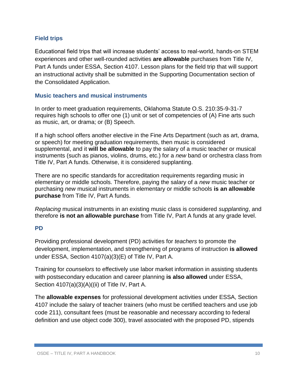## **Field trips**

Educational field trips that will increase students' access to real-world, hands-on STEM experiences and other well-rounded activities **are allowable** purchases from Title IV, Part A funds under ESSA, Section 4107. Lesson plans for the field trip that will support an instructional activity shall be submitted in the Supporting Documentation section of the Consolidated Application.

#### **Music teachers and musical instruments**

In order to meet graduation requirements, Oklahoma Statute O.S. 210:35-9-31-7 requires high schools to offer one (1) unit or set of competencies of (A) Fine arts such as music, art, or drama; or (B) Speech.

If a high school offers another elective in the Fine Arts Department (such as art, drama, or speech) for meeting graduation requirements, then music is considered supplemental, and it **will be allowable** to pay the salary of a music teacher or musical instruments (such as pianos, violins, drums, etc.) for a *new* band or orchestra class from Title IV, Part A funds. Otherwise, it is considered supplanting.

There are no specific standards for accreditation requirements regarding music in elementary or middle schools. Therefore, paying the salary of a *new* music teacher or purchasing *new* musical instruments in elementary or middle schools **is an allowable purchase** from Title IV, Part A funds.

*Replacing* musical instruments in an existing music class is considered *supplanting*, and therefore **is not an allowable purchase** from Title IV, Part A funds at any grade level.

## **PD**

Providing professional development (PD) activities for *teachers* to promote the development, implementation, and strengthening of programs of instruction **is allowed** under ESSA, Section 4107(a)(3)(E) of Title IV, Part A.

Training for *counselors* to effectively use labor market information in assisting students with postsecondary education and career planning **is also allowed** under ESSA, Section 4107(a)(3)(A)((ii) of Title IV, Part A.

The **allowable expenses** for professional development activities under ESSA, Section 4107 include the salary of teacher trainers (who must be certified teachers and use job code 211), consultant fees (must be reasonable and necessary according to federal definition and use object code 300), travel associated with the proposed PD, stipends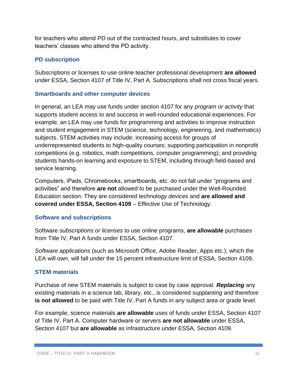for teachers who attend PD out of the contracted hours, and substitutes to cover teachers' classes who attend the PD activity.

## **PD subscription**

Subscriptions or licenses to use online teacher professional development **are allowed**  under ESSA, Section 4107 of Title IV, Part A. Subscriptions shall not cross fiscal years.

## **Smartboards and other computer devices**

In general, an LEA may use funds under section 4107 for any *program or activity* that supports student access to and success in well-rounded educational experiences. For example, an LEA may use funds for programming and activities to improve instruction and student engagement in STEM (science, technology, engineering, and mathematics) subjects. STEM activities may include: increasing access for groups of underrepresented students to high-quality courses; supporting participation in nonprofit competitions (e.g. robotics, math competitions, computer programming); and providing students hands-on learning and exposure to STEM, including through field-based and service learning.

Computers, iPads, Chromebooks, smartboards, etc. do not fall under "programs and activities" and therefore **are not** allowed to be purchased under the Well-Rounded Education section. They are considered technology *devices* and **are allowed and covered under ESSA, Section 4109** – Effective Use of Technology.

## **Software and subscriptions**

Software *subscriptions or licenses* to use online programs, **are allowable** purchases from Title IV, Part A funds under ESSA, Section 4107.

*Software applications* (such as Microsoft Office, Adobe Reader, Apps etc.), which the LEA will own, will fall under the 15 percent infrastructure limit of ESSA, Section 4109.

## **STEM materials**

Purchase of new STEM materials is subject to case by case approval. *Replacing* any existing materials in a science lab, library, etc., is considered *supplanting* and therefore **is not allowed** to be paid with Title IV, Part A funds in any subject area or grade level.

For example, science materials **are allowable** uses of funds under ESSA, Section 4107 of Title IV, Part A. Computer hardware or servers **are not allowable** under ESSA, Section 4107 but **are allowable** as infrastructure under ESSA, Section 4109.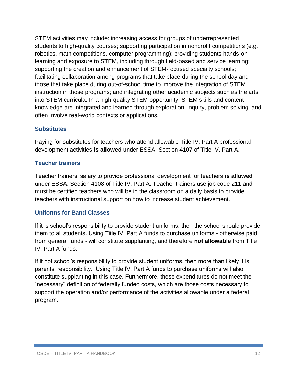STEM activities may include: increasing access for groups of underrepresented students to high-quality courses; supporting participation in nonprofit competitions (e.g. robotics, math competitions, computer programming); providing students hands-on learning and exposure to STEM, including through field-based and service learning; supporting the creation and enhancement of STEM-focused specialty schools; facilitating collaboration among programs that take place during the school day and those that take place during out-of-school time to improve the integration of STEM instruction in those programs; and integrating other academic subjects such as the arts into STEM curricula. In a high-quality STEM opportunity, STEM skills and content knowledge are integrated and learned through exploration, inquiry, problem solving, and often involve real-world contexts or applications.

#### **Substitutes**

Paying for substitutes for teachers who attend allowable Title IV, Part A professional development activities **is allowed** under ESSA, Section 4107 of Title IV, Part A.

#### **Teacher trainers**

Teacher trainers' salary to provide professional development for teachers **is allowed** under ESSA, Section 4108 of Title IV, Part A. Teacher trainers use job code 211 and must be certified teachers who will be in the classroom on a daily basis to provide teachers with instructional support on how to increase student achievement.

## **Uniforms for Band Classes**

If it is school's responsibility to provide student uniforms, then the school should provide them to all students. Using Title IV, Part A funds to purchase uniforms - otherwise paid from general funds - will constitute supplanting, and therefore **not allowable** from Title IV, Part A funds.

If it not school's responsibility to provide student uniforms, then more than likely it is parents' responsibility. Using Title IV, Part A funds to purchase uniforms will also constitute supplanting in this case. Furthermore, these expenditures do not meet the "necessary" definition of federally funded costs, which are those costs necessary to support the operation and/or performance of the activities allowable under a federal program.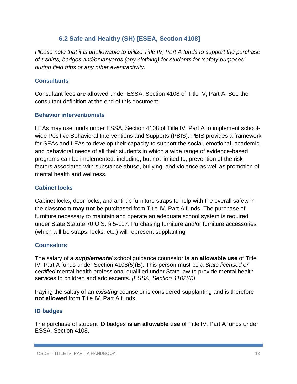## **6.2 Safe and Healthy (SH) [ESEA, Section 4108]**

*Please note that it is unallowable to utilize Title IV, Part A funds to support the purchase of t-shirts, badges and/or lanyards (any clothing) for students for 'safety purposes' during field trips or any other event/activity.*

## **Consultants**

Consultant fees **are allowed** under ESSA, Section 4108 of Title IV, Part A. See the consultant definition at the end of this document.

## **Behavior interventionists**

LEAs may use funds under ESSA, Section 4108 of Title IV, Part A to implement schoolwide Positive Behavioral Interventions and Supports (PBIS). PBIS provides a framework for SEAs and LEAs to develop their capacity to support the social, emotional, academic, and behavioral needs of all their students in which a wide range of evidence-based programs can be implemented, including, but not limited to, prevention of the risk factors associated with substance abuse, bullying, and violence as well as promotion of mental health and wellness.

## **Cabinet locks**

Cabinet locks, door locks, and anti-tip furniture straps to help with the overall safety in the classroom **may not** be purchased from Title IV, Part A funds. The purchase of furniture necessary to maintain and operate an adequate school system is required under State Statute 70 O.S. § 5-117. Purchasing furniture and/or furniture accessories (which will be straps, locks, etc.) will represent supplanting.

## **Counselors**

The salary of a *supplemental* school guidance counselor **is an allowable use** of Title IV, Part A funds under Section 4108(5)(B). This person must be a *State licensed or certified* mental health professional qualified under State law to provide mental health services to children and adolescents. *[ESSA, Section 4102(6)]*

Paying the salary of an *existing* counselor is considered supplanting and is therefore **not allowed** from Title IV, Part A funds.

## **ID badges**

The purchase of student ID badges **is an allowable use** of Title IV, Part A funds under ESSA, Section 4108.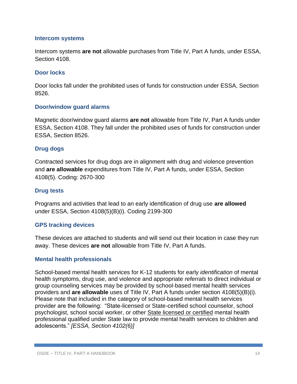#### **Intercom systems**

Intercom systems **are not** allowable purchases from Title IV, Part A funds, under ESSA, Section 4108.

#### **Door locks**

Door locks fall under the prohibited uses of funds for construction under ESSA, Section 8526.

#### **Door/window guard alarms**

Magnetic door/window guard alarms **are not** allowable from Title IV, Part A funds under ESSA, Section 4108. They fall under the prohibited uses of funds for construction under ESSA, Section 8526.

#### **Drug dogs**

Contracted services for drug dogs are in alignment with drug and violence prevention and **are allowable** expenditures from Title IV, Part A funds, under ESSA, Section 4108(5). Coding: 2670-300

#### **Drug tests**

Programs and activities that lead to an early identification of drug use **are allowed** under ESSA, Section 4108(5)(B)(i). Coding 2199-300

#### **GPS tracking devices**

These devices are attached to students and will send out their location in case they run away. These devices **are not** allowable from Title IV, Part A funds.

#### **Mental health professionals**

School-based mental health services for K-12 students for early *identification* of mental health symptoms, drug use, and violence and appropriate *referrals* to direct individual or group counseling services may be provided by school-based mental health services providers and **are allowable** uses of Title IV, Part A funds under section 4108(5)(B)(i). Please note that included in the category of school-based mental health services provider are the following: "State-licensed or State-certified school counselor, school psychologist, school social worker, or other State licensed or certified mental health professional qualified under State law to provide mental health services to children and adolescents." *[ESSA, Section 4102(6)]*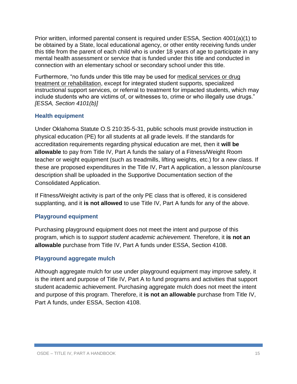Prior written, informed parental consent is required under ESSA, Section 4001(a)(1) to be obtained by a State, local educational agency, or other entity receiving funds under this title from the parent of each child who is under 18 years of age to participate in any mental health assessment or service that is funded under this title and conducted in connection with an elementary school or secondary school under this title.

Furthermore, "no funds under this title may be used for medical services or drug treatment or rehabilitation, except for integrated student supports, specialized instructional support services, or referral to treatment for impacted students, which may include students who are victims of, or witnesses to, crime or who illegally use drugs." *[ESSA, Section 4101(b)]*

## **Health equipment**

Under Oklahoma Statute O.S 210:35-5-31, public schools must provide instruction in physical education (PE) for all students at all grade levels. If the standards for accreditation requirements regarding physical education are met, then it **will be allowable** to pay from Title IV, Part A funds the salary of a Fitness/Weight Room teacher or weight equipment (such as treadmills, lifting weights, etc.) for a *new* class. If these are proposed expenditures in the Title IV, Part A application, a lesson plan/course description shall be uploaded in the Supportive Documentation section of the Consolidated Application.

If Fitness/Weight activity is part of the only PE class that is offered, it is considered supplanting, and it **is not allowed** to use Title IV, Part A funds for any of the above.

## **Playground equipment**

Purchasing playground equipment does not meet the intent and purpose of this program, which is to *support student academic achievement.* Therefore, it **is not an allowable** purchase from Title IV, Part A funds under ESSA, Section 4108.

## **Playground aggregate mulch**

Although aggregate mulch for use under playground equipment may improve safety, it is the intent and purpose of Title IV, Part A to fund programs and activities that support student academic achievement. Purchasing aggregate mulch does not meet the intent and purpose of this program. Therefore, it **is not an allowable** purchase from Title IV, Part A funds, under ESSA, Section 4108.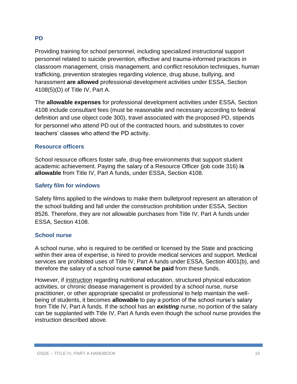## **PD**

Providing training for school personnel, including specialized instructional support personnel related to suicide prevention, effective and trauma-informed practices in classroom management, crisis management, and conflict resolution techniques, human trafficking, prevention strategies regarding violence, drug abuse, bullying, and harassment **are allowed** professional development activities under ESSA, Section 4108(5)(D) of Title IV, Part A.

The **allowable expenses** for professional development activities under ESSA, Section 4108 include consultant fees (must be reasonable and necessary according to federal definition and use object code 300), travel associated with the proposed PD, stipends for personnel who attend PD out of the contracted hours, and substitutes to cover teachers' classes who attend the PD activity.

#### **Resource officers**

School resource officers foster safe, drug-free environments that support student academic achievement. Paying the salary of a Resource Officer (job code 316) **is allowable** from Title IV, Part A funds, under ESSA, Section 4108.

#### **Safety film for windows**

Safety films applied to the windows to make them bulletproof represent an alteration of the school building and fall under the construction prohibition under ESSA, Section 8526. Therefore, they are not allowable purchases from Title IV, Part A funds under ESSA, Section 4108.

#### **School nurse**

A school nurse, who is required to be certified or licensed by the State and practicing within their area of expertise, is hired to provide medical services and support. Medical services are prohibited uses of Title IV, Part A funds under ESSA, Section 4001(b), and therefore the salary of a school nurse **cannot be paid** from these funds.

However, if instruction regarding nutritional education, structured physical education activities, or chronic disease management is provided by a school nurse, nurse practitioner, or other appropriate specialist or professional to help maintain the wellbeing of students, it becomes **allowable** to pay a portion of the school nurse's salary from Title IV, Part A funds. If the school has an *existing* nurse, no portion of the salary can be supplanted with Title IV, Part A funds even though the school nurse provides the instruction described above.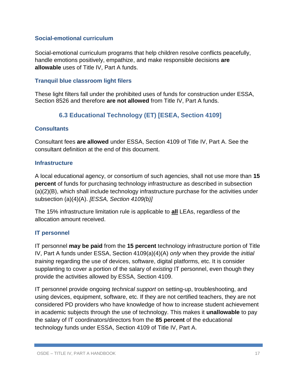#### **Social-emotional curriculum**

Social-emotional curriculum programs that help children resolve conflicts peacefully, handle emotions positively, empathize, and make responsible decisions **are allowable** uses of Title IV, Part A funds.

#### **Tranquil blue classroom light filers**

These light filters fall under the prohibited uses of funds for construction under ESSA, Section 8526 and therefore **are not allowed** from Title IV, Part A funds.

## **6.3 Educational Technology (ET) [ESEA, Section 4109]**

#### **Consultants**

Consultant fees **are allowed** under ESSA, Section 4109 of Title IV, Part A. See the consultant definition at the end of this document.

#### **Infrastructure**

A local educational agency, or consortium of such agencies, shall not use more than **15 percent** of funds for purchasing technology infrastructure as described in subsection (a)(2)(B), which shall include technology infrastructure purchase for the activities under subsection (a)(4)(A). *[ESSA, Section 4109(b)]*

The 15% infrastructure limitation rule is applicable to **all** LEAs, regardless of the allocation amount received.

## **IT personnel**

IT personnel **may be paid** from the **15 percent** technology infrastructure portion of Title IV, Part A funds under ESSA, Section 4109(a)(4)(A) *only* when they provide the *initial training* regarding the use of devices, software, digital platforms, etc. It is consider supplanting to cover a portion of the salary of *existing* IT personnel, even though they provide the activities allowed by ESSA, Section 4109.

IT personnel provide ongoing *technical support* on setting-up, troubleshooting, and using devices, equipment, software, etc. If they are not certified teachers, they are not considered PD providers who have knowledge of how to increase student achievement in academic subjects through the use of technology. This makes it **unallowable** to pay the salary of IT coordinators/directors from the **85 percent** of the educational technology funds under ESSA, Section 4109 of Title IV, Part A.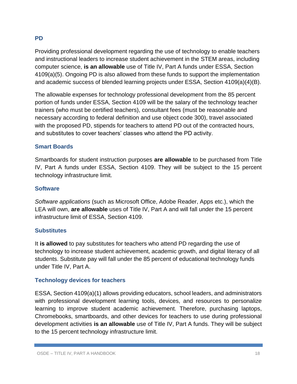## **PD**

Providing professional development regarding the use of technology to enable teachers and instructional leaders to increase student achievement in the STEM areas, including computer science, **is an allowable** use of Title IV, Part A funds under ESSA, Section 4109(a)(5). Ongoing PD is also allowed from these funds to support the implementation and academic success of blended learning projects under ESSA, Section 4109(a)(4)(B).

The allowable expenses for technology professional development from the 85 percent portion of funds under ESSA, Section 4109 will be the salary of the technology teacher trainers (who must be certified teachers), consultant fees (must be reasonable and necessary according to federal definition and use object code 300), travel associated with the proposed PD, stipends for teachers to attend PD out of the contracted hours, and substitutes to cover teachers' classes who attend the PD activity.

#### **Smart Boards**

Smartboards for student instruction purposes **are allowable** to be purchased from Title IV, Part A funds under ESSA, Section 4109. They will be subject to the 15 percent technology infrastructure limit.

#### **Software**

*Software applications* (such as Microsoft Office, Adobe Reader, Apps etc.), which the LEA will own, **are allowable** uses of Title IV, Part A and will fall under the 15 percent infrastructure limit of ESSA, Section 4109.

#### **Substitutes**

It **is allowed** to pay substitutes for teachers who attend PD regarding the use of technology to increase student achievement, academic growth, and digital literacy of all students. Substitute pay will fall under the 85 percent of educational technology funds under Title IV, Part A.

#### **Technology devices for teachers**

ESSA, Section 4109(a)(1) allows providing educators, school leaders, and administrators with professional development learning tools, devices, and resources to personalize learning to improve student academic achievement. Therefore, purchasing laptops, Chromebooks, smartboards, and other devices for teachers to use during professional development activities **is an allowable** use of Title IV, Part A funds. They will be subject to the 15 percent technology infrastructure limit.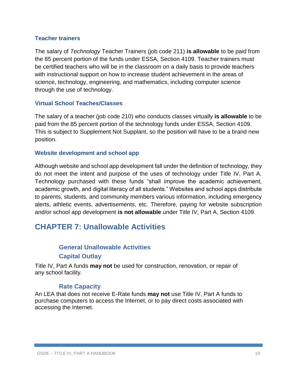#### **Teacher trainers**

The salary of *Technology* Teacher Trainers (job code 211) **is allowable** to be paid from the 85 percent portion of the funds under ESSA, Section 4109. Teacher trainers must be certified teachers who will be in the classroom on a daily basis to provide teachers with instructional support on how to increase student achievement in the areas of science, technology, engineering, and mathematics, including computer science through the use of technology.

#### **Virtual School Teaches/Classes**

The salary of a teacher (job code 210) who conducts classes virtually **is allowable** to be paid from the 85 percent portion of the technology funds under ESSA, Section 4109. This is subject to Supplement Not Supplant, so the position will have to be a brand new position.

#### **Website development and school app**

Although website and school app development fall under the definition of technology, they do not meet the intent and purpose of the uses of technology under Title IV, Part A. Technology purchased with these funds "shall improve the academic achievement, academic growth, and digital literacy of all students." Websites and school apps distribute to parents, students, and community members various information, including emergency alerts, athletic events, advertisements, etc. Therefore, paying for website subscription and/or school app development **is not allowable** under Title IV, Part A, Section 4109.

# **CHAPTER 7: Unallowable Activities**

# **General Unallowable Activities Capital Outlay**

Title IV, Part A funds **may not** be used for construction, renovation, or repair of any school facility.

## **Rate Capacity**

An LEA that does not receive E-Rate funds **may not** use Title IV, Part A funds to purchase computers to access the Internet, or to pay direct costs associated with accessing the Internet.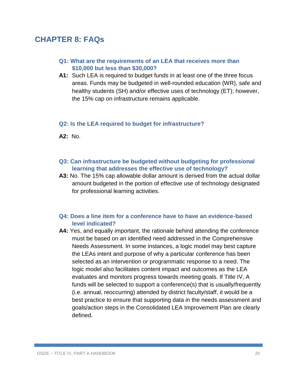# **CHAPTER 8: FAQs**

- **Q1: What are the requirements of an LEA that receives more than \$10,000 but less than \$30,000?**
- **A1:** Such LEA is required to budget funds in at least one of the three focus areas. Funds may be budgeted in well-rounded education (WR), safe and healthy students (SH) and/or effective uses of technology (ET); however, the 15% cap on infrastructure remains applicable.

#### **Q2: Is the LEA required to budget for infrastructure?**

**A2:** No.

- **Q3: Can infrastructure be budgeted without budgeting for professional learning that addresses the effective use of technology?**
- **A3:** No. The 15% cap allowable dollar amount is derived from the actual dollar amount budgeted in the portion of effective use of technology designated for professional learning activities.

#### **Q4: Does a line item for a conference have to have an evidence-based level indicated?**

**A4:** Yes, and equally important, the rationale behind attending the conference must be based on an identified need addressed in the Comprehensive Needs Assessment. In some instances, a logic model may best capture the LEAs intent and purpose of why a particular conference has been selected as an intervention or programmatic response to a need. The logic model also facilitates content impact and outcomes as the LEA evaluates and monitors progress towards meeting goals. If Title IV, A funds will be selected to support a conference(s) that is usually/frequently (i.e. annual, reoccurring) attended by district faculty/staff, it would be a best practice to ensure that supporting data in the needs assessment and goals/action steps in the Consolidated LEA Improvement Plan are clearly defined.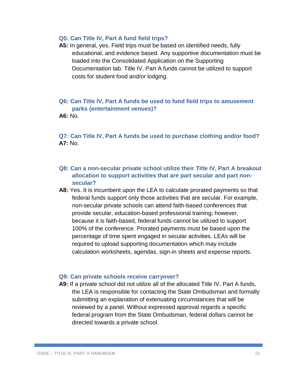#### **Q5: Can Title IV, Part A fund field trips?**

**A5:** In general, yes. Field trips must be based on identified needs, fully educational, and evidence based. Any supportive documentation must be loaded into the Consolidated Application on the Supporting Documentation tab. Title IV, Part A funds cannot be utilized to support costs for student food and/or lodging.

## **Q6: Can Title IV, Part A funds be used to fund field trips to amusement parks (entertainment venues)?**

**A6:** No.

**Q7: Can Title IV, Part A funds be used to purchase clothing and/or food? A7:** No.

- **Q8: Can a non-secular private school utilize their Title IV, Part A breakout allocation to support activities that are part secular and part nonsecular?**
- **A8:** Yes. It is incumbent upon the LEA to calculate prorated payments so that federal funds support only those activities that are secular. For example, non-secular private schools can attend faith-based conferences that provide secular, education-based professional training; however, because it is faith-based, federal funds cannot be utilized to support 100% of the conference. Prorated payments must be based upon the percentage of time spent engaged in secular activities. LEAs will be required to upload supporting documentation which may include calculation worksheets, agendas, sign-in sheets and expense reports.

#### **Q9: Can private schools receive carryover?**

**A9:** If a private school did not utilize all of the allocated Title IV, Part A funds, the LEA is responsible for contacting the State Ombudsman and formally submitting an explanation of extenuating circumstances that will be reviewed by a panel. Without expressed approval regards a specific federal program from the State Ombudsman, federal dollars cannot be directed towards a private school.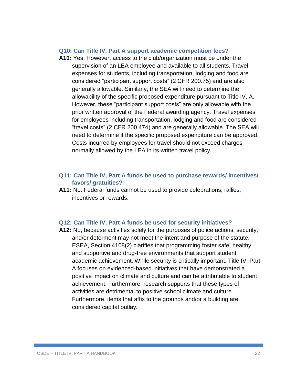#### **Q10: Can Title IV, Part A support academic competition fees?**

**A10:** Yes. However, access to the club/organization must be under the supervision of an LEA employee and available to all students. Travel expenses for students, including transportation, lodging and food are considered "participant support costs" (2 CFR 200.75) and are also generally allowable. Similarly, the SEA will need to determine the allowability of the specific proposed expenditure pursuant to Title IV, A. However, these "participant support costs" are only allowable with the prior written approval of the Federal awarding agency. Travel expenses for employees including transportation, lodging and food are considered "travel costs" (2 CFR 200.474) and are generally allowable. The SEA will need to determine if the specific proposed expenditure can be approved. Costs incurred by employees for travel should not exceed charges normally allowed by the LEA in its written travel policy.

#### **Q11: Can Title IV, Part A funds be used to purchase rewards/ incentives/ favors/ gratuities?**

**A11:** No. Federal funds cannot be used to provide celebrations, rallies, incentives or rewards.

#### **Q12: Can Title IV, Part A funds be used for security initiatives?**

**A12:** No, because activities solely for the purposes of police actions, security, and/or determent may not meet the intent and purpose of the statute. ESEA, Section 4108(2) clarifies that programming foster safe, healthy and supportive and drug-free environments that support student academic achievement. While security is critically important, Title IV, Part A focuses on evidenced-based initiatives that have demonstrated a positive impact on climate and culture and can be attributable to student achievement. Furthermore, research supports that these types of activities are detrimental to positive school climate and culture. Furthermore, items that affix to the grounds and/or a building are considered capital outlay.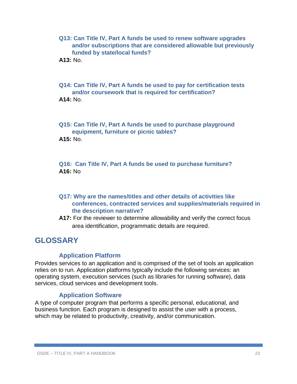- **Q13: Can Title IV, Part A funds be used to renew software upgrades and/or subscriptions that are considered allowable but previously funded by state/local funds?**
- **A13:** No.

**Q14: Can Title IV, Part A funds be used to pay for certification tests and/or coursework that is required for certification? A14:** No.

**Q15: Can Title IV, Part A funds be used to purchase playground equipment, furniture or picnic tables? A15:** No.

**Q16: Can Title IV, Part A funds be used to purchase furniture? A16:** No

- **Q17: Why are the names/titles and other details of activities like conferences, contracted services and supplies/materials required in the description narrative?**
- **A17:** For the reviewer to determine allowability and verify the correct focus area identification, programmatic details are required.

# **GLOSSARY**

## **Application Platform**

Provides services to an application and is comprised of the set of tools an application relies on to run. Application platforms typically include the following services: an operating system, execution services (such as libraries for running software), data services, cloud services and development tools.

## **Application Software**

A type of computer program that performs a specific personal, educational, and business function. Each program is designed to assist the user with a process, which may be related to productivity, creativity, and/or communication.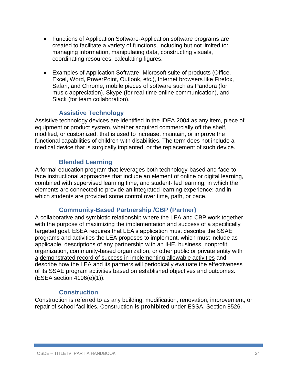- Functions of Application Software-Application software programs are created to facilitate a variety of functions, including but not limited to: managing information, manipulating data, constructing visuals, coordinating resources, calculating figures.
- Examples of Application Software- Microsoft suite of products (Office, Excel, Word, PowerPoint, Outlook, etc.), Internet browsers like Firefox, Safari, and Chrome, mobile pieces of software such as Pandora (for music appreciation), Skype (for real-time online communication), and Slack (for team collaboration).

## **Assistive Technology**

Assistive technology devices are identified in the IDEA 2004 as any item, piece of equipment or product system, whether acquired commercially off the shelf, modified, or customized, that is used to increase, maintain, or improve the functional capabilities of children with disabilities. The term does not include a medical device that is surgically implanted, or the replacement of such device.

## **Blended Learning**

A formal education program that leverages both technology-based and face-toface instructional approaches that include an element of online or digital learning, combined with supervised learning time, and student- led learning, in which the elements are connected to provide an integrated learning experience; and in which students are provided some control over time, path, or pace.

## **Community-Based Partnership /CBP (Partner)**

A collaborative and symbiotic relationship where the LEA and CBP work together with the purpose of maximizing the implementation and success of a specifically targeted goal. ESEA requires that LEA's application must describe the SSAE programs and activities the LEA proposes to implement, which must include as applicable, descriptions of any partnership with an IHE, business, nonprofit organization, community-based organization, or other public or private entity with a demonstrated record of success in implementing allowable activities and describe how the LEA and its partners will periodically evaluate the effectiveness of its SSAE program activities based on established objectives and outcomes. (ESEA section 4106(e)(1)).

## **Construction**

Construction is referred to as any building, modification, renovation, improvement, or repair of school facilities. Construction **is prohibited** under ESSA, Section 8526.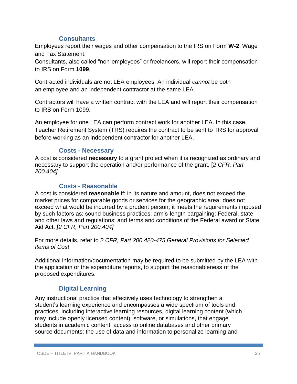## **Consultants**

Employees report their wages and other compensation to the IRS on Form **W-2**, Wage and Tax Statement.

Consultants, also called "non-employees" or freelancers, will report their compensation to IRS on Form **1099**.

Contracted individuals are not LEA employees. An individual *cannot* be both an employee and an independent contractor at the same LEA.

Contractors will have a written contract with the LEA and will report their compensation to IRS on Form 1099.

An employee for one LEA can perform contract work for another LEA. In this case, Teacher Retirement System (TRS) requires the contract to be sent to TRS for approval before working as an independent contractor for another LEA.

## **Costs - Necessary**

A cost is considered **necessary** to a grant project when it is recognized as ordinary and necessary to support the operation and/or performance of the grant. [*2 CFR, Part 200.404]*

## **Costs - Reasonable**

A cost is considered **reasonable** if: in its nature and amount, does not exceed the market prices for comparable goods or services for the geographic area; does not exceed what would be incurred by a prudent person; it meets the requirements imposed by such factors as: sound business practices; arm's-length bargaining; Federal, state and other laws and regulations; and terms and conditions of the Federal award or State Aid Act. *[2 CFR, Part 200.404]*

For more details, refer to *2 CFR, Part 200.420-475 General Provisions for Selected Items of Cost*

Additional information/documentation may be required to be submitted by the LEA with the application or the expenditure reports, to support the reasonableness of the proposed expenditures.

## **Digital Learning**

Any instructional practice that effectively uses technology to strengthen a student's learning experience and encompasses a wide spectrum of tools and practices, including interactive learning resources, digital learning content (which may include openly licensed content), software, or simulations, that engage students in academic content; access to online databases and other primary source documents; the use of data and information to personalize learning and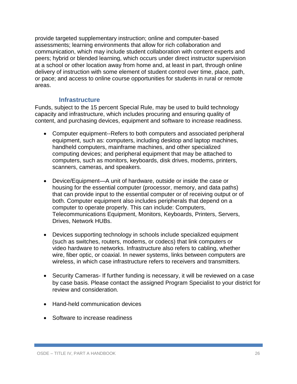provide targeted supplementary instruction; online and computer-based assessments; learning environments that allow for rich collaboration and communication, which may include student collaboration with content experts and peers; hybrid or blended learning, which occurs under direct instructor supervision at a school or other location away from home and, at least in part, through online delivery of instruction with some element of student control over time, place, path, or pace; and access to online course opportunities for students in rural or remote areas.

## **Infrastructure**

Funds, subject to the 15 percent Special Rule, may be used to build technology capacity and infrastructure, which includes procuring and ensuring quality of content, and purchasing devices, equipment and software to increase readiness.

- Computer equipment--Refers to both computers and associated peripheral equipment, such as: computers, including desktop and laptop machines, handheld computers, mainframe machines, and other specialized computing devices; and peripheral equipment that may be attached to computers, such as monitors, keyboards, disk drives, modems, printers, scanners, cameras, and speakers.
- Device/Equipment—A unit of hardware, outside or inside the case or housing for the essential computer (processor, memory, and data paths) that can provide input to the essential computer or of receiving output or of both. Computer equipment also includes peripherals that depend on a computer to operate properly. This can include: Computers, Telecommunications Equipment, Monitors, Keyboards, Printers, Servers, Drives, Network HUBs.
- Devices supporting technology in schools include specialized equipment (such as switches, routers, modems, or codecs) that link computers or video hardware to networks. Infrastructure also refers to cabling, whether wire, fiber optic, or coaxial. In newer systems, links between computers are wireless, in which case infrastructure refers to receivers and transmitters.
- Security Cameras- If further funding is necessary, it will be reviewed on a case by case basis. Please contact the assigned Program Specialist to your district for review and consideration.
- Hand-held communication devices
- Software to increase readiness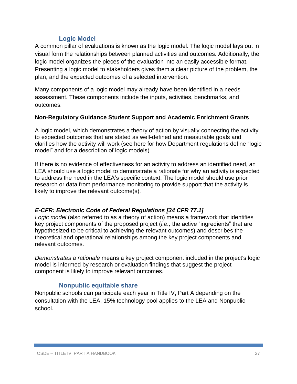## **Logic Model**

A common pillar of evaluations is known as the logic model. The logic model lays out in visual form the relationships between planned activities and outcomes. Additionally, the logic model organizes the pieces of the evaluation into an easily accessible format. Presenting a logic model to stakeholders gives them a clear picture of the problem, the plan, and the expected outcomes of a selected intervention.

Many components of a logic model may already have been identified in a needs assessment. These components include the inputs, activities, benchmarks, and outcomes.

#### **Non-Regulatory Guidance Student Support and Academic Enrichment Grants**

A logic model, which demonstrates a theory of action by visually connecting the activity to expected outcomes that are stated as well-defined and measurable goals and clarifies how the activity will work (see here for how Department regulations define "logic model" and for a description of logic models)

If there is no evidence of effectiveness for an activity to address an identified need, an LEA should use a logic model to demonstrate a rationale for why an activity is expected to address the need in the LEA's specific context. The logic model should use prior research or data from performance monitoring to provide support that the activity is likely to improve the relevant outcome(s).

## *E-CFR: Electronic Code of Federal Regulations [34 CFR 77.1]*

*Logic model* (also referred to as a theory of action) means a framework that identifies key project components of the proposed project (*i.e.,* the active "ingredients" that are hypothesized to be critical to achieving the relevant outcomes) and describes the theoretical and operational relationships among the key project components and relevant outcomes.

*Demonstrates a rationale* means a key project component included in the project's logic model is informed by research or evaluation findings that suggest the project component is likely to improve relevant outcomes.

## **Nonpublic equitable share**

Nonpublic schools can participate each year in Title IV, Part A depending on the consultation with the LEA. 15% technology pool applies to the LEA and Nonpublic school.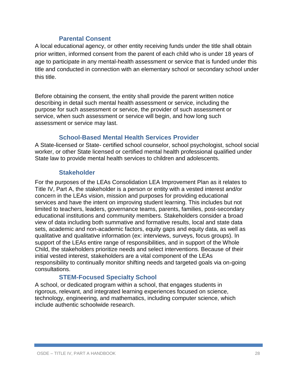## **Parental Consent**

A local educational agency, or other entity receiving funds under the title shall obtain prior written, informed consent from the parent of each child who is under 18 years of age to participate in any mental-health assessment or service that is funded under this title and conducted in connection with an elementary school or secondary school under this title.

Before obtaining the consent, the entity shall provide the parent written notice describing in detail such mental health assessment or service, including the purpose for such assessment or service, the provider of such assessment or service, when such assessment or service will begin, and how long such assessment or service may last.

## **School-Based Mental Health Services Provider**

A State-licensed or State- certified school counselor, school psychologist, school social worker, or other State licensed or certified mental health professional qualified under State law to provide mental health services to children and adolescents.

## **Stakeholder**

For the purposes of the LEAs Consolidation LEA Improvement Plan as it relates to Title IV, Part A, the stakeholder is a person or entity with a vested interest and/or concern in the LEAs vision, mission and purposes for providing educational services and have the intent on improving student learning. This includes but not limited to teachers, leaders, governance teams, parents, families, post-secondary educational institutions and community members. Stakeholders consider a broad view of data including both summative and formative results, local and state data sets, academic and non-academic factors, equity gaps and equity data, as well as qualitative and qualitative information (ex: interviews, surveys, focus groups). In support of the LEAs entire range of responsibilities, and in support of the Whole Child, the stakeholders prioritize needs and select interventions. Because of their initial vested interest, stakeholders are a vital component of the LEAs responsibility to continually monitor shifting needs and targeted goals via on-going consultations.

## **STEM-Focused Specialty School**

A school, or dedicated program within a school, that engages students in rigorous, relevant, and integrated learning experiences focused on science, technology, engineering, and mathematics, including computer science, which include authentic schoolwide research.